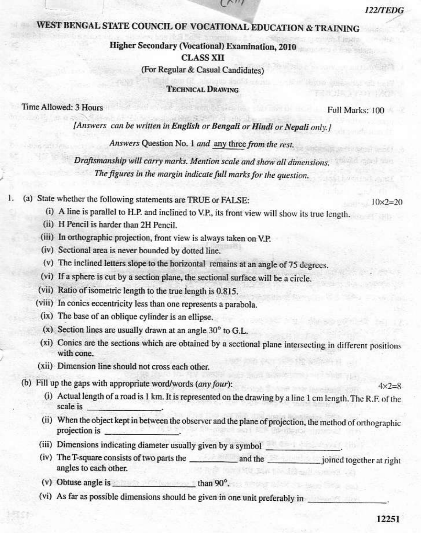$4 \times 7 = 8$ 

# 12251

## WEST BENGAL STATE COUNCIL OF VOCATIONAL EDUCATION & TRAINING

### Higher Secondary (Vocational) Examination, 2010 **CLASS XII** (For Regular & Casual Candidates)

 $\sim$ 

**TECHNICAL DRAWING** 

#### Time Allowed: 3 Hours

Full Marks: 100

122/TEDG

 $10 \times 2 = 20$ 

[Answers can be written in English or Bengali or Hindi or Nepali only.]

Answers Question No. 1 and any three from the rest.

Draftsmanship will carry marks. Mention scale and show all dimensions. The figures in the margin indicate full marks for the question.

- ŀ. (a) State whether the following statements are TRUE or FALSE:
	- (i) A line is parallel to H.P. and inclined to V.P., its front view will show its true length.
	- (ii) H Pencil is harder than 2H Pencil.
	- (iii) In orthographic projection, front view is always taken on V.P.
	- (iv) Sectional area is never bounded by dotted line.
	- (v) The inclined letters slope to the horizontal remains at an angle of 75 degrees.
	- (vi) If a sphere is cut by a section plane, the sectional surface will be a circle.
	- (vii) Ratio of isometric length to the true length is 0.815.
	- (viii) In conics eccentricity less than one represents a parabola.
		- (ix) The base of an oblique cylinder is an ellipse.
		- $(x)$  Section lines are usually drawn at an angle 30 $^{\circ}$  to G.L.
		- (xi) Conics are the sections which are obtained by a sectional plane intersecting in different positions with cone.
	- (xii) Dimension line should not cross each other.
	- (b) Fill up the gaps with appropriate word/words (any four):
		- (i) Actual length of a road is 1 km. It is represented on the drawing by a line 1 cm length. The R.F. of the scale is
		- (ii) When the object kept in between the observer and the plane of projection, the method of orthographic projection is
		- (iii) Dimensions indicating diameter usually given by a symbol
		- (iv) The T-square consists of two parts the and the interest in point together at right angles to each other.
		- (v) Obtuse angle is  $\frac{1}{2}$  than 90<sup>o</sup>.
		- (vi) As far as possible dimensions should be given in one unit preferably in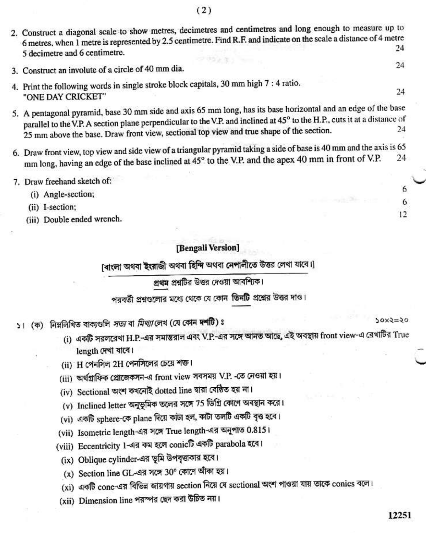- 2. Construct a diagonal scale to show metres, decimetres and centimetres and long enough to measure up to 6 metres, when 1 metre is represented by 2.5 centimetre. Find R.F. and indicate on the scale a distance of 4 metre 24 5 decimetre and 6 centimetre.
- 3. Construct an involute of a circle of 40 mm dia.
- 4. Print the following words in single stroke block capitals, 30 mm high 7 : 4 ratio. "ONE DAY CRICKET"
- 5. A pentagonal pyramid, base 30 mm side and axis 65 mm long, has its base horizontal and an edge of the base parallel to the V.P. A section plane perpendicular to the V.P. and inclined at 45° to the H.P., cuts it at a distance of 25 mm above the base. Draw front view, sectional top view and true shape of the section. 24
- 6. Draw front view, top view and side view of a triangular pyramid taking a side of base is 40 mm and the axis is 65 mm long, having an edge of the base inclined at 45° to the V.P. and the apex 40 mm in front of V.P. 24
- 7. Draw freehand sketch of:
	- (i) Angle-section;
	- (ii) I-section;
	- (iii) Double ended wrench.

#### [Bengali Version]

[ৰাংলা অথবা ইংরাজী অথবা হিন্দি অথবা নেপালীতে উত্তর লেখা যাবে।]

প্রথম প্রশ্নটির উত্তর দেওয়া আবশ্যিক।

পরবর্তী প্রশ্নগুলোর মধ্যে থেকে যে কোন তিনটি প্রশ্নের উত্তর দাও।

১। (ক) নিম্নলিখিত বাক্যগুলি *সভ্য* বা *মিথ্যা* লেখ (যে কোন দশটি)ঃ

- (i) একটি সরলরেখা H.P.-এর সমান্তরাল এবং V.P.-এর সঙ্গে আনত আছে, এই অবস্থায় front view-এ রেখাটির True length দেখা যাবে।
- (ii) H পেনসিল 2H পেনসিলের চেয়ে শক্ত।
- (iii) অর্থগ্রাফিক প্রোজেকসন-এ front view সবসময় V.P. -তে নেওয়া হয়।
- (iv) Sectional অংশ কখনোই dotted line দ্বারা বেষ্ঠিত হয় না।
- (v) Inclined letter অনুভূমিক তলের সঙ্গে 75 ডিগ্রি কোণে অবস্থান করে।
- (vi) একটি sphere-কে plane দিয়ে কাটা হল, কাটা তলটি একটি বৃত্ত হবে।
- (vii) Isometric length-এর সঙ্গে True length-এর অনুপাত 0.815।
- (viii) Eccentricity 1-এর কম হলে conicটি একটি parabola হবে।
	- (ix) Oblique cylinder-এর ভূমি উপবৃত্তাকার হবে।
	- (x) Section line GL-এর সঙ্গে 30° কোণে আঁকা হয়।
	- (xi) একটি cone-এর বিভিন্ন জায়গায় section নিয়ে যে sectional অংশ পাওয়া যায় তাকে conics বলে।
- (xii) Dimension line পরস্পর ছেদ করা উচিত নয়।

24

24

6

6

 $12$ 

 $50x3=20$